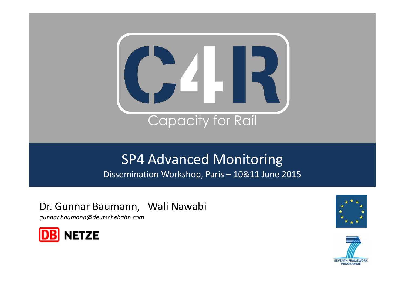

# SP4 Advanced Monitoring

Dissemination Workshop, Paris – 10&11 June 2015

### Dr. Gunnar Baumann, Wali Nawabi

*gunnar.baumann@deutschebahn.com*





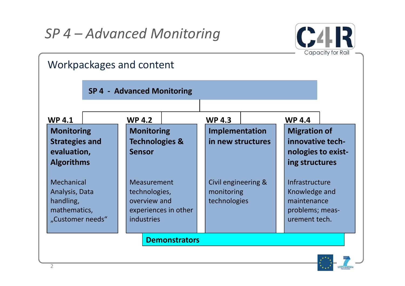

| Workpackages and content                                                             |                                                                                           |                                                   |                                                                                    |
|--------------------------------------------------------------------------------------|-------------------------------------------------------------------------------------------|---------------------------------------------------|------------------------------------------------------------------------------------|
| <b>SP 4 - Advanced Monitoring</b>                                                    |                                                                                           |                                                   |                                                                                    |
| <b>WP4.1</b>                                                                         | <b>WP 4.2</b>                                                                             | <b>WP 4.3</b>                                     | <b>WP 4.4</b>                                                                      |
| <b>Monitoring</b><br><b>Strategies and</b><br>evaluation,<br><b>Algorithms</b>       | <b>Monitoring</b><br><b>Technologies &amp;</b><br><b>Sensor</b>                           | Implementation<br>in new structures               | <b>Migration of</b><br>innovative tech-<br>nologies to exist-<br>ing structures    |
| <b>Mechanical</b><br>Analysis, Data<br>handling,<br>mathematics,<br>"Customer needs" | <b>Measurement</b><br>technologies,<br>overview and<br>experiences in other<br>industries | Civil engineering &<br>monitoring<br>technologies | Infrastructure<br>Knowledge and<br>maintenance<br>problems; meas-<br>urement tech. |

**Demonstrators**

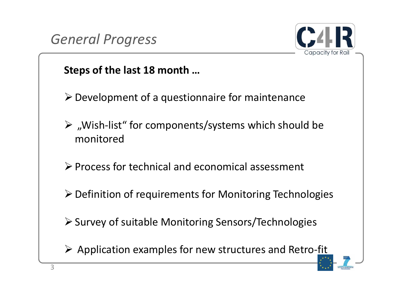



### **Steps of the last 18 month …**

- $\triangleright$  Development of a questionnaire for maintenance
- $\triangleright$  , Wish-list" for components/systems which should be monitored
- $\triangleright$  Process for technical and economical assessment
- $\triangleright$  Definition of requirements for Monitoring Technologies
- $\triangleright$  Survey of suitable Monitoring Sensors/Technologies
- $\triangleright$  Application examples for new structures and Retro-fit

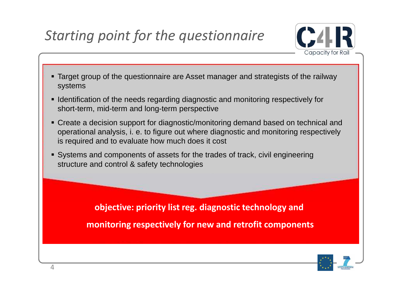# *Starting point for the questionnaire*



- Target group of the questionnaire are Asset manager and strategists of the railway systems
- I dentification of the needs regarding diagnostic and monitoring respectively for short-term, mid-term and long-term perspective
- Create a decision support for diagnostic/monitoring demand based on technical and operational analysis, i. e. to figure out where diagnostic and monitoring respectively is required and to evaluate how much does it cost
- Systems and components of assets for the trades of track, civil engineering structure and control & safety technologies

**objective: priority list reg. diagnostic technology and monitoring respectively for new and retrofit components**

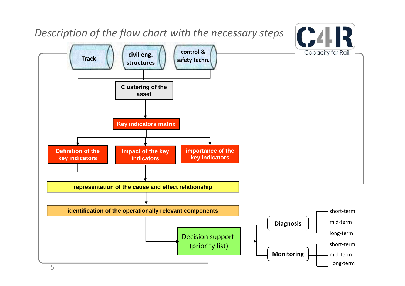### *Description of the flow chart with the necessary steps*

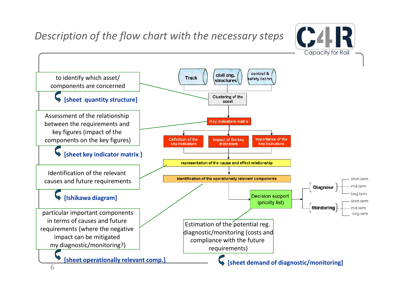

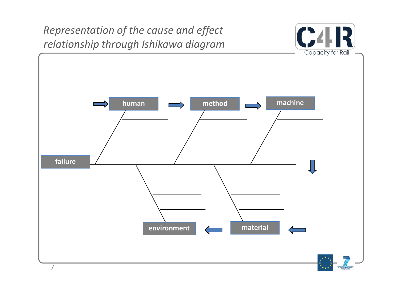$C<sub>4</sub>$ *Representation of the cause and effect relationship through Ishikawa diagram* Capacity for Rail **human method method machine failure environment environment** 7**VENTH FRAMEWITH**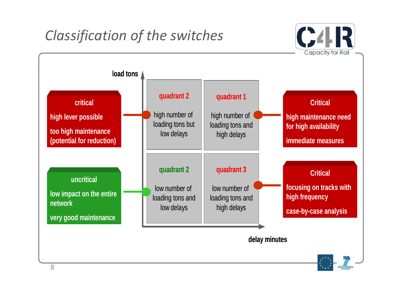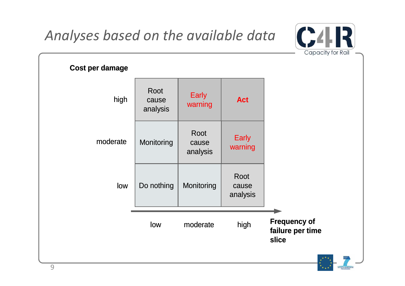*Analyses based on the available data*

**Cost per damage**

high

low

moderate



**Frequency of failure per time slice**

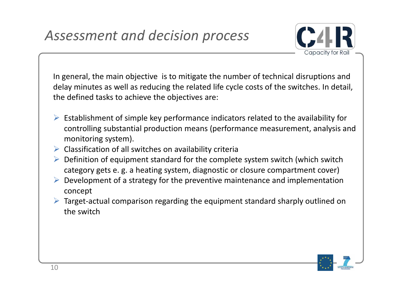

In general, the main objective is to mitigate the number of technical disruptions and delay minutes as well as reducing the related life cycle costs of the switches. In detail, the defined tasks to achieve the objectives are:

- $\triangleright$  Establishment of simple key performance indicators related to the availability for controlling substantial production means (performance measurement, analysis and monitoring system).
- $\triangleright$  Classification of all switches on availability criteria
- $\triangleright$  Definition of equipment standard for the complete system switch (which switch category gets e. g. a heating system, diagnostic or closure compartment cover)
- $\triangleright$  Development of a strategy for the preventive maintenance and implementation concept
- Target-actual comparison regarding the equipment standard sharply outlined on the switch

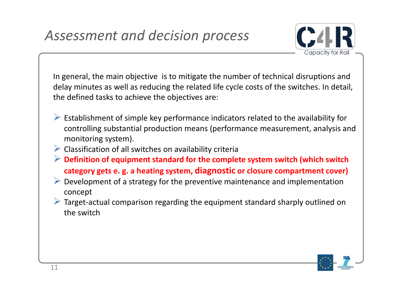

In general, the main objective is to mitigate the number of technical disruptions and delay minutes as well as reducing the related life cycle costs of the switches. In detail, the defined tasks to achieve the objectives are:

- $\triangleright$  Establishment of simple key performance indicators related to the availability for controlling substantial production means (performance measurement, analysis and monitoring system).
- $\triangleright$  Classification of all switches on availability criteria
- **Definition of equipment standard for the complete system switch (which switch category gets e. g. a heating system, diagnostic or closure compartment cover)**
- $\triangleright$  Development of a strategy for the preventive maintenance and implementation concept
- Target-actual comparison regarding the equipment standard sharply outlined on the switch

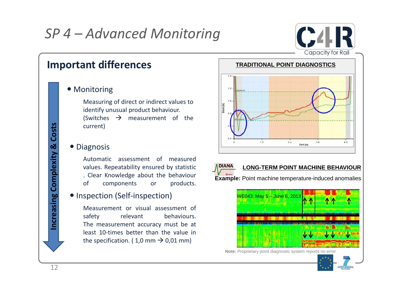

#### • Monitoring

Measuring of direct or indirect values to identify unusual product behaviour. (Switches  $\rightarrow$  measurement of the current)

#### • Diagnosis

Automatic assessment of measured values. Repeatability ensured by statistic . Clear Knowledge about the behaviour of components or products.

#### • Inspection (Self-inspection)

Measurement or visual assessment of safety relevant behaviours. The measurement accuracy must be at least 10-times better than the value in the specification. (1,0 mm  $\rightarrow$  0,01 mm)





#### **LONG-TERM POINT MACHINE BEHAVIOUR**

**Example:** Point machine temperature-induced anomalies



**Note:** Proprietary point diagnostic system reports no error

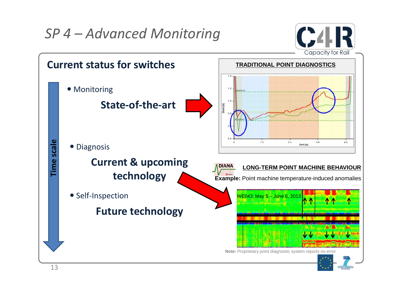

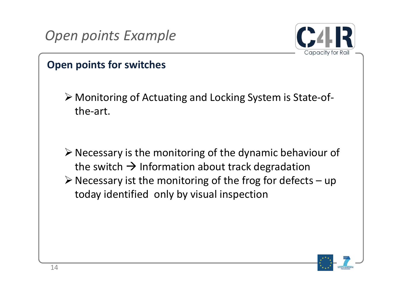



### **Open points for switches**

 Monitoring of Actuating and Locking System is State-ofthe-art.

 $\triangleright$  Necessary is the monitoring of the dynamic behaviour of the switch  $\rightarrow$  Information about track degradation  $\triangleright$  Necessary ist the monitoring of the frog for defects – up today identified only by visual inspection

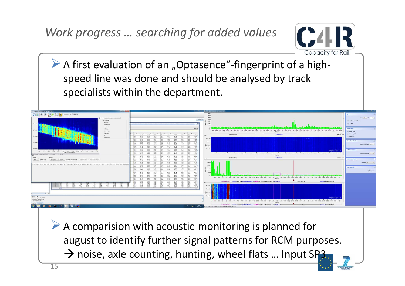

 $\triangleright$  A first evaluation of an "Optasence"-fingerprint of a highspeed line was done and should be analysed by track specialists within the department.



 $\triangleright$  A comparision with acoustic-monitoring is planned for august to identify further signal patterns for RCM purposes.  $\rightarrow$  noise, axle counting, hunting, wheel flats ... Input SP3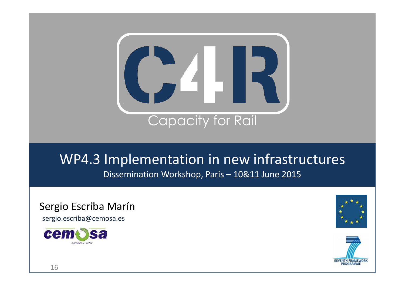

## WP4.3 Implementation in new infrastructures Dissemination Workshop, Paris – 10&11 June 2015

Sergio Escriba Marín

sergio.escriba@cemosa.es





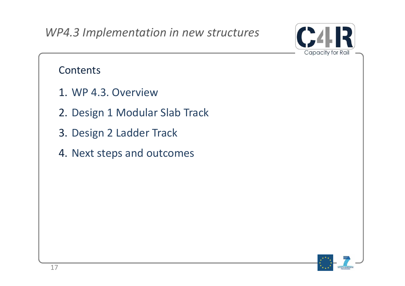

### **Contents**

- 1. WP 4.3. Overview
- 2. Design 1 Modular Slab Track
- 3. Design 2 Ladder Track
- 4. Next steps and outcomes

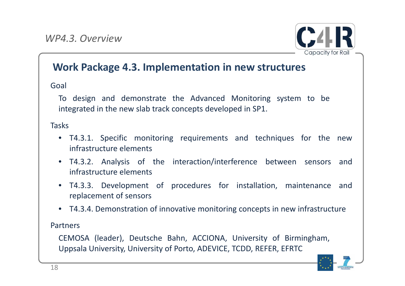

### **Work Package 4.3. Implementation in new structures**

Goal

To design and demonstrate the Advanced Monitoring system to be integrated in the new slab track concepts developed in SP1.

Tasks

- T4.3.1. Specific monitoring requirements and techniques for the new infrastructure elements
- T4.3.2. Analysis of the interaction/interference between sensors and infrastructure elements
- T4.3.3. Development of procedures for installation, maintenance and replacement of sensors
- T4.3.4. Demonstration of innovative monitoring concepts in new infrastructure

Partners

CEMOSA (leader), Deutsche Bahn, ACCIONA, University of Birmingham, Uppsala University, University of Porto, ADEVICE, TCDD, REFER, EFRTC

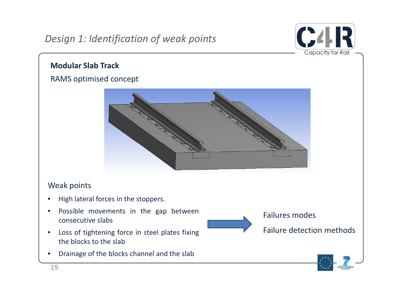

#### **Modular Slab Track**

### RAMS optimised concept



#### Weak points

- High lateral forces in the stoppers.
- Possible movements in the gap between consecutive slabs
- Loss of tightening force in steel plates fixing the blocks to the slab
- Drainage of the blocks channel and the slab



Failure detection methods

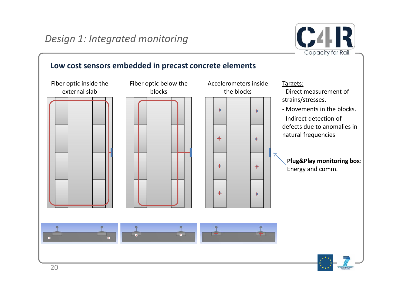

#### **Low cost sensors embedded in precast concrete elements**

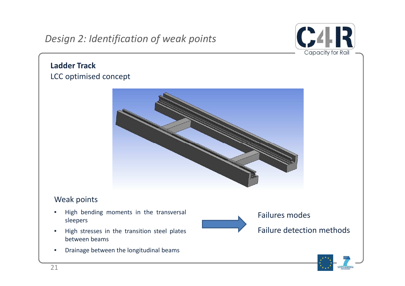### *Design 2: Identification of weak points*



#### **Ladder Track** LCC optimised concept



#### Weak points

- High bending moments in the transversal sleepers
- High stresses in the transition steel plates between beams
- Drainage between the longitudinal beams



#### Failures modes

Failure detection methods

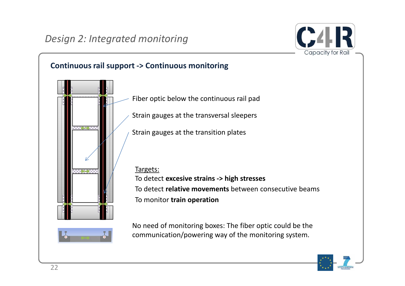

### **Continuous rail support -> Continuous monitoring**



Fiber optic below the continuous rail pad

Strain gauges at the transversal sleepers

Strain gauges at the transition plates

Targets: To detect **excesive strains -> high stresses** To detect **relative movements** between consecutive beams To monitor **train operation**



No need of monitoring boxes: The fiber optic could be the communication/powering way of the monitoring system.

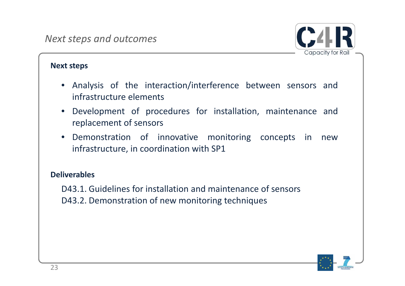

#### **Next steps**

- Analysis of the interaction/interference between sensors and infrastructure elements
- Development of procedures for installation, maintenance and replacement of sensors
- Demonstration of innovative monitoring concepts in new infrastructure, in coordination with SP1

#### **Deliverables**

D43.1. Guidelines for installation and maintenance of sensors D43.2. Demonstration of new monitoring techniques